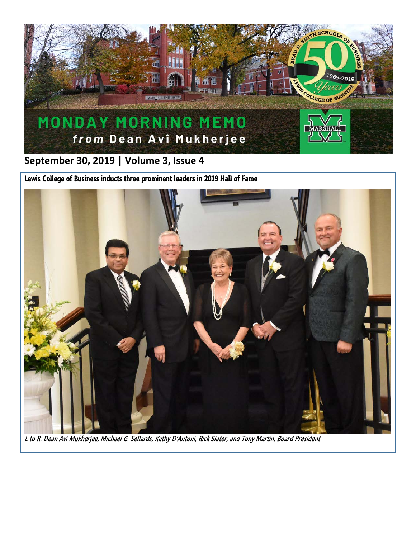

**September 30, 2019 | Volume 3, Issue 4**

Lewis College of Business inducts three prominent leaders in 2019 Hall of Fame



L to R: Dean Avi Mukherjee, Michael G. Sellards, Kathy D'Antoni, Rick Slater, and Tony Martin, Board President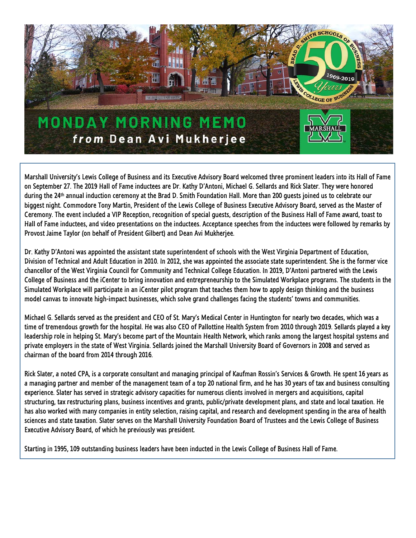

Marshall University's Lewis College of Business and its Executive Advisory Board welcomed three prominent leaders into its Hall of Fame on September 27. The 2019 Hall of Fame inductees are Dr. Kathy D'Antoni, Michael G. Sellards and Rick Slater. They were honored during the 24th annual induction ceremony at the Brad D. Smith Foundation Hall. More than 200 guests joined us to celebrate our biggest night. Commodore Tony Martin, President of the Lewis College of Business Executive Advisory Board, served as the Master of Ceremony. The event included a VIP Reception, recognition of special guests, description of the Business Hall of Fame award, toast to Hall of Fame inductees, and video presentations on the inductees. Acceptance speeches from the inductees were followed by remarks by Provost Jaime Taylor (on behalf of President Gilbert) and Dean Avi Mukherjee.

Dr. Kathy D'Antoni was appointed the assistant state superintendent of schools with the West Virginia Department of Education, Division of Technical and Adult Education in 2010. In 2012, she was appointed the associate state superintendent. She is the former vice chancellor of the West Virginia Council for Community and Technical College Education. In 2019, D'Antoni partnered with the Lewis College of Business and the iCenter to bring innovation and entrepreneurship to the Simulated Workplace programs. The students in the Simulated Workplace will participate in an iCenter pilot program that teaches them how to apply design thinking and the business model canvas to innovate high-impact businesses, which solve grand challenges facing the students' towns and communities.

Michael G. Sellards served as the president and CEO of St. Mary's Medical Center in Huntington for nearly two decades, which was a time of tremendous growth for the hospital. He was also CEO of Pallottine Health System from 2010 through 2019. Sellards played a key leadership role in helping St. Mary's become part of the Mountain Health Network, which ranks among the largest hospital systems and private employers in the state of West Virginia. Sellards joined the Marshall University Board of Governors in 2008 and served as chairman of the board from 2014 through 2016.

Rick Slater, a noted CPA, is a corporate consultant and managing principal of Kaufman Rossin's Services & Growth. He spent 16 years as a managing partner and member of the management team of a top 20 national firm, and he has 30 years of tax and business consulting experience. Slater has served in strategic advisory capacities for numerous clients involved in mergers and acquisitions, capital structuring, tax restructuring plans, business incentives and grants, public/private development plans, and state and local taxation. He has also worked with many companies in entity selection, raising capital, and research and development spending in the area of health sciences and state taxation. Slater serves on the Marshall University Foundation Board of Trustees and the Lewis College of Business Executive Advisory Board, of which he previously was president.

Starting in 1995, 109 outstanding business leaders have been inducted in the Lewis College of Business Hall of Fame.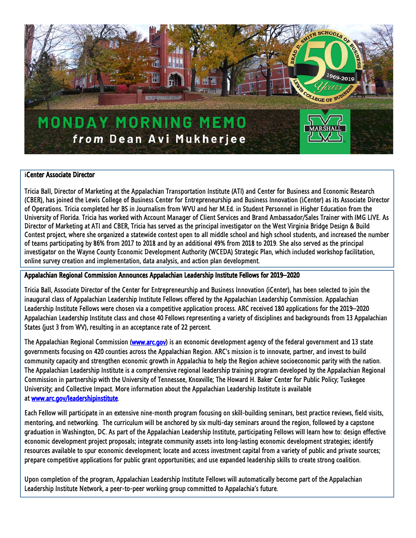

### **i**Center Associate Director

Tricia Ball, Director of Marketing at the Appalachian Transportation Institute (ATI) and Center for Business and Economic Research (CBER), has joined the Lewis College of Business Center for Entrepreneurship and Business Innovation (*i*Center) as its Associate Director of Operations. Tricia completed her BS in Journalism from WVU and her M.Ed. in Student Personnel in Higher Education from the University of Florida. Tricia has worked with Account Manager of Client Services and Brand Ambassador/Sales Trainer with IMG LIVE. As Director of Marketing at ATI and CBER, Tricia has served as the principal investigator on the West Virginia Bridge Design & Build Contest project, where she organized a statewide contest open to all middle school and high school students, and increased the number of teams participating by 86% from 2017 to 2018 and by an additional 49% from 2018 to 2019. She also served as the principal investigator on the Wayne County Economic Development Authority (WCEDA) Strategic Plan, which included workshop facilitation, online survey creation and implementation, data analysis, and action plan development.

### Appalachian Regional Commission Announces Appalachian Leadership Institute Fellows for 2019–2020

Tricia Ball, Associate Director of the Center for Entrepreneurship and Business Innovation (iCenter), has been selected to join the inaugural class of Appalachian Leadership Institute Fellows offered by the Appalachian Leadership Commission. Appalachian Leadership Institute Fellows were chosen via a competitive application process. ARC received 180 applications for the 2019–2020 Appalachian Leadership Institute class and chose 40 Fellows representing a variety of disciplines and backgrounds from 13 Appalachian States (just 3 from WV), resulting in an acceptance rate of 22 percent.

The Appalachian Regional Commission [\(www.arc.gov\)](https://linkprotect.cudasvc.com/url?a=https%3a%2f%2farc.us12.list-manage.com%2ftrack%2fclick%3fu%3d9bfa82f6fd59f9f14e40259c1%26id%3d2264421d58%26e%3db7b09babe5&c=E,1,ufSOwueQcW88ABcuqrzmfUmH5BesANEdhs3xszsfQR__Oj8zFKQQVbOIkODEzAsMejEHG1CdUBong_6lrTD5eMYCTd8j2mpHxYuAOqzD24zT5ky_Xw,,&typo=1) is an economic development agency of the federal government and 13 state governments focusing on 420 counties across the Appalachian Region. ARC's mission is to innovate, partner, and invest to build community capacity and strengthen economic growth in Appalachia to help the Region achieve socioeconomic parity with the nation. The Appalachian Leadership Institute is a comprehensive regional leadership training program developed by the Appalachian Regional Commission in partnership with the University of Tennessee, Knoxville; The Howard H. Baker Center for Public Policy; Tuskegee University; and Collective Impact. More information about the Appalachian Leadership Institute is available at [www.arc.gov/leadershipinstitute.](https://linkprotect.cudasvc.com/url?a=https%3a%2f%2farc.us12.list-manage.com%2ftrack%2fclick%3fu%3d9bfa82f6fd59f9f14e40259c1%26id%3dd7110db373%26e%3db7b09babe5&c=E,1,Qn5g2VcjqpH3E6B4TRMNuvfOeGnEHsMtGhtyIyTwUVUatRiIwalRQpsHF5R2gWCGheVjO4kWgOo0JKH8-pYNqyXaqF19Sl3WlfyRhuPKL8WK7Hcu9g,,&typo=1)

Each Fellow will participate in an extensive nine-month program focusing on skill-building seminars, best practice reviews, field visits, mentoring, and networking. The curriculum will be anchored by six multi-day seminars around the region, followed by a capstone graduation in Washington, DC. As part of the Appalachian Leadership Institute, participating Fellows will learn how to: design effective economic development project proposals; integrate community assets into long-lasting economic development strategies; identify resources available to spur economic development; locate and access investment capital from a variety of public and private sources; prepare competitive applications for public grant opportunities; and use expanded leadership skills to create strong coalition.

Upon completion of the program, Appalachian Leadership Institute Fellows will automatically become part of the Appalachian Leadership Institute Network, a peer-to-peer working group committed to Appalachia's future.